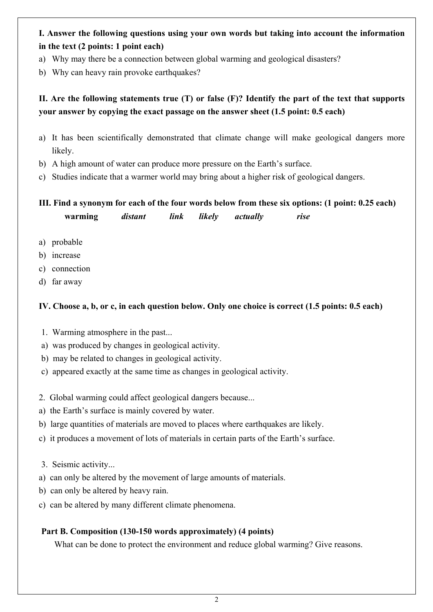# **I. Answer the following questions using your own words but taking into account the information in the text (2 points: 1 point each)**

- a) Why may there be a connection between global warming and geological disasters?
- b) Why can heavy rain provoke earthquakes?

# **II. Are the following statements true (T) or false (F)? Identify the part of the text that supports your answer by copying the exact passage on the answer sheet (1.5 point: 0.5 each)**

- a) It has been scientifically demonstrated that climate change will make geological dangers more likely.
- b) A high amount of water can produce more pressure on the Earth's surface.
- c) Studies indicate that a warmer world may bring about a higher risk of geological dangers.

**III. Find a synonym for each of the four words below from these six options: (1 point: 0.25 each) warming** *distant link likely actually rise* 

- a) probable
- b) increase
- c) connection
- d) far away

## **IV. Choose a, b, or c, in each question below. Only one choice is correct (1.5 points: 0.5 each)**

- 1. Warming atmosphere in the past...
- a) was produced by changes in geological activity.
- b) may be related to changes in geological activity.
- c) appeared exactly at the same time as changes in geological activity.
- 2. Global warming could affect geological dangers because...
- a) the Earth's surface is mainly covered by water.
- b) large quantities of materials are moved to places where earthquakes are likely.
- c) it produces a movement of lots of materials in certain parts of the Earth's surface.
- 3. Seismic activity...
- a) can only be altered by the movement of large amounts of materials.
- b) can only be altered by heavy rain.
- c) can be altered by many different climate phenomena.

## **Part B. Composition (130-150 words approximately) (4 points)**

What can be done to protect the environment and reduce global warming? Give reasons.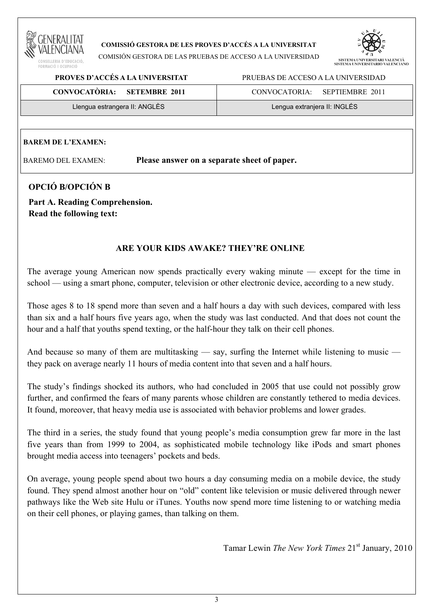

#### **COMISSIÓ GESTORA DE LES PROVES D'ACCÉS A LA UNIVERSITAT**

COMISIÓN GESTORA DE LAS PRUEBAS DE ACCESO A LA UNIVERSIDAD



 **PROVES D'ACCÉS A LA UNIVERSITAT** PRUEBAS DE ACCESO A LA UNIVERSIDAD

| CONVOCATÒRIA: SETEMBRE 2011   | SEPTIEMBRE 2011<br>CONVOCATORIA: |
|-------------------------------|----------------------------------|
| Llengua estrangera II: ANGLÈS | Lengua extranjera II: INGLÉS     |

#### **BAREM DE L'EXAMEN:**

BAREMO DEL EXAMEN: **Please answer on a separate sheet of paper.**

## **OPCIÓ B/OPCIÓN B**

**Part A. Reading Comprehension. Read the following text:** 

## **ARE YOUR KIDS AWAKE? THEY'RE ONLINE**

The average young American now spends practically every waking minute — except for the time in school — using a smart phone, computer, television or other electronic device, according to a new study.

Those ages 8 to 18 spend more than seven and a half hours a day with such devices, compared with less than six and a half hours five years ago, when the study was last conducted. And that does not count the hour and a half that youths spend texting, or the half-hour they talk on their cell phones.

And because so many of them are multitasking — say, surfing the Internet while listening to music they pack on average nearly 11 hours of media content into that seven and a half hours.

The study's findings shocked its authors, who had concluded in 2005 that use could not possibly grow further, and confirmed the fears of many parents whose children are constantly tethered to media devices. It found, moreover, that heavy media use is associated with behavior problems and lower grades.

The third in a series, the study found that young people's media consumption grew far more in the last five years than from 1999 to 2004, as sophisticated mobile technology like iPods and smart phones brought media access into teenagers' pockets and beds.

On average, young people spend about two hours a day consuming media on a mobile device, the study found. They spend almost another hour on "old" content like television or music delivered through newer pathways like the Web site Hulu or iTunes. Youths now spend more time listening to or watching media on their cell phones, or playing games, than talking on them.

Tamar Lewin *The New York Times* 21st January, 2010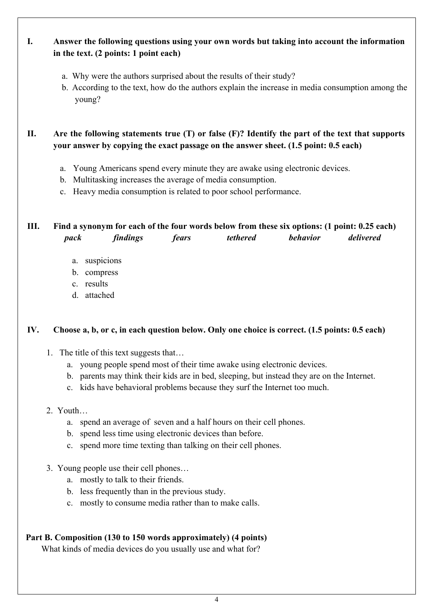# **I. Answer the following questions using your own words but taking into account the information in the text. (2 points: 1 point each)**

- a. Why were the authors surprised about the results of their study?
- b. According to the text, how do the authors explain the increase in media consumption among the young?

**II. Are the following statements true (T) or false (F)? Identify the part of the text that supports your answer by copying the exact passage on the answer sheet. (1.5 point: 0.5 each)** 

- a. Young Americans spend every minute they are awake using electronic devices.
- b. Multitasking increases the average of media consumption.
- c. Heavy media consumption is related to poor school performance.

## **III. Find a synonym for each of the four words below from these six options: (1 point: 0.25 each)**   *pack findings fears tethered behavior delivered*

- a. suspicions
- b. compress
- c. results
- d. attached

## **IV. Choose a, b, or c, in each question below. Only one choice is correct. (1.5 points: 0.5 each)**

- 1. The title of this text suggests that…
	- a. young people spend most of their time awake using electronic devices.
	- b. parents may think their kids are in bed, sleeping, but instead they are on the Internet.
	- c. kids have behavioral problems because they surf the Internet too much.

#### 2. Youth…

- a. spend an average of seven and a half hours on their cell phones.
- b. spend less time using electronic devices than before.
- c. spend more time texting than talking on their cell phones.
- 3. Young people use their cell phones…
	- a. mostly to talk to their friends.
	- b. less frequently than in the previous study.
	- c. mostly to consume media rather than to make calls.

## **Part B. Composition (130 to 150 words approximately) (4 points)**

What kinds of media devices do you usually use and what for?